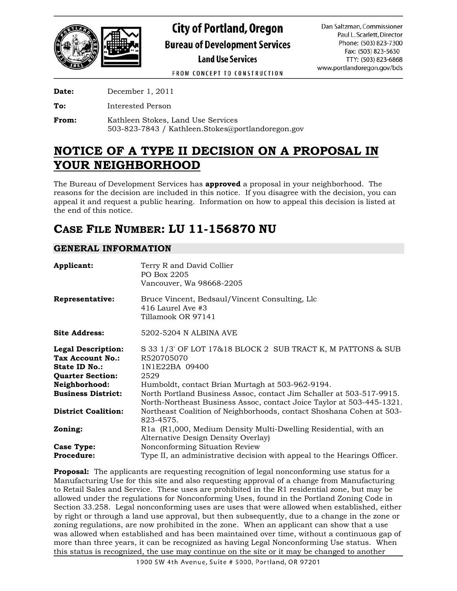

**City of Portland, Oregon Bureau of Development Services Land Use Services** 

Dan Saltzman, Commissioner Paul L. Scarlett, Director Phone: (503) 823-7300 Fax: (503) 823-5630 TTY: (503) 823-6868 www.portlandoregon.gov/bds

FROM CONCEPT TO CONSTRUCTION

**Date:** December 1, 2011

**To:** Interested Person

**From:** Kathleen Stokes, Land Use Services 503-823-7843 / Kathleen.Stokes@portlandoregon.gov

# **NOTICE OF A TYPE II DECISION ON A PROPOSAL IN YOUR NEIGHBORHOOD**

The Bureau of Development Services has **approved** a proposal in your neighborhood. The reasons for the decision are included in this notice. If you disagree with the decision, you can appeal it and request a public hearing. Information on how to appeal this decision is listed at the end of this notice.

# **CASE FILE NUMBER: LU 11-156870 NU**

## **GENERAL INFORMATION**

| Applicant:                                                                                       | Terry R and David Collier<br>PO Box 2205<br>Vancouver, Wa 98668-2205                                                                                                                              |
|--------------------------------------------------------------------------------------------------|---------------------------------------------------------------------------------------------------------------------------------------------------------------------------------------------------|
| Representative:                                                                                  | Bruce Vincent, Bedsaul/Vincent Consulting, Llc<br>$416$ Laurel Ave $#3$<br>Tillamook OR 97141                                                                                                     |
| <b>Site Address:</b>                                                                             | 5202-5204 N ALBINA AVE                                                                                                                                                                            |
| <b>Legal Description:</b><br>Tax Account No.:<br><b>State ID No.:</b><br><b>Quarter Section:</b> | S 33 1/3' OF LOT 17&18 BLOCK 2 SUB TRACT K, M PATTONS & SUB<br>R520705070<br>1N1E22BA 09400<br>2529                                                                                               |
| Neighborhood:<br><b>Business District:</b>                                                       | Humboldt, contact Brian Murtagh at 503-962-9194.<br>North Portland Business Assoc, contact Jim Schaller at 503-517-9915.<br>North-Northeast Business Assoc, contact Joice Taylor at 503-445-1321. |
| <b>District Coalition:</b>                                                                       | Northeast Coalition of Neighborhoods, contact Shoshana Cohen at 503-<br>823-4575.                                                                                                                 |
| Zoning:                                                                                          | R1a (R1,000, Medium Density Multi-Dwelling Residential, with an<br>Alternative Design Density Overlay)                                                                                            |
| Case Type:<br><b>Procedure:</b>                                                                  | Nonconforming Situation Review<br>Type II, an administrative decision with appeal to the Hearings Officer.                                                                                        |

**Proposal:** The applicants are requesting recognition of legal nonconforming use status for a Manufacturing Use for this site and also requesting approval of a change from Manufacturing to Retail Sales and Service. These uses are prohibited in the R1 residential zone, but may be allowed under the regulations for Nonconforming Uses, found in the Portland Zoning Code in Section 33.258. Legal nonconforming uses are uses that were allowed when established, either by right or through a land use approval, but then subsequently, due to a change in the zone or zoning regulations, are now prohibited in the zone. When an applicant can show that a use was allowed when established and has been maintained over time, without a continuous gap of more than three years, it can be recognized as having Legal Nonconforming Use status. When this status is recognized, the use may continue on the site or it may be changed to another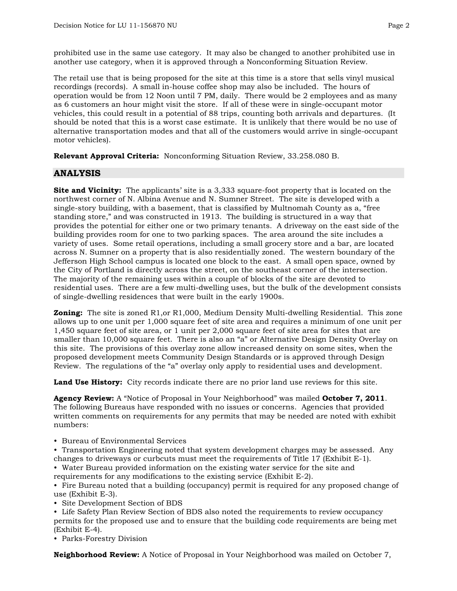prohibited use in the same use category. It may also be changed to another prohibited use in another use category, when it is approved through a Nonconforming Situation Review.

The retail use that is being proposed for the site at this time is a store that sells vinyl musical recordings (records). A small in-house coffee shop may also be included. The hours of operation would be from 12 Noon until 7 PM, daily. There would be 2 employees and as many as 6 customers an hour might visit the store. If all of these were in single-occupant motor vehicles, this could result in a potential of 88 trips, counting both arrivals and departures. (It should be noted that this is a worst case estimate. It is unlikely that there would be no use of alternative transportation modes and that all of the customers would arrive in single-occupant motor vehicles).

**Relevant Approval Criteria:** Nonconforming Situation Review, 33.258.080 B.

## **ANALYSIS**

**Site and Vicinity:** The applicants' site is a 3,333 square-foot property that is located on the northwest corner of N. Albina Avenue and N. Sumner Street. The site is developed with a single-story building, with a basement, that is classified by Multnomah County as a, "free standing store," and was constructed in 1913. The building is structured in a way that provides the potential for either one or two primary tenants. A driveway on the east side of the building provides room for one to two parking spaces. The area around the site includes a variety of uses. Some retail operations, including a small grocery store and a bar, are located across N. Sumner on a property that is also residentially zoned. The western boundary of the Jefferson High School campus is located one block to the east. A small open space, owned by the City of Portland is directly across the street, on the southeast corner of the intersection. The majority of the remaining uses within a couple of blocks of the site are devoted to residential uses. There are a few multi-dwelling uses, but the bulk of the development consists of single-dwelling residences that were built in the early 1900s.

**Zoning:** The site is zoned R1, or R1, 000, Medium Density Multi-dwelling Residential. This zone allows up to one unit per 1,000 square feet of site area and requires a minimum of one unit per 1,450 square feet of site area, or 1 unit per 2,000 square feet of site area for sites that are smaller than 10,000 square feet. There is also an "a" or Alternative Design Density Overlay on this site. The provisions of this overlay zone allow increased density on some sites, when the proposed development meets Community Design Standards or is approved through Design Review. The regulations of the "a" overlay only apply to residential uses and development.

**Land Use History:** City records indicate there are no prior land use reviews for this site.

**Agency Review:** A "Notice of Proposal in Your Neighborhood" was mailed **October 7, 2011**. The following Bureaus have responded with no issues or concerns. Agencies that provided written comments on requirements for any permits that may be needed are noted with exhibit numbers:

• Bureau of Environmental Services

• Transportation Engineering noted that system development charges may be assessed. Any changes to driveways or curbcuts must meet the requirements of Title 17 (Exhibit E-1).

• Water Bureau provided information on the existing water service for the site and requirements for any modifications to the existing service (Exhibit E-2).

• Fire Bureau noted that a building (occupancy) permit is required for any proposed change of use (Exhibit E-3).

• Site Development Section of BDS

• Life Safety Plan Review Section of BDS also noted the requirements to review occupancy permits for the proposed use and to ensure that the building code requirements are being met (Exhibit E-4).

• Parks-Forestry Division

**Neighborhood Review:** A Notice of Proposal in Your Neighborhood was mailed on October 7,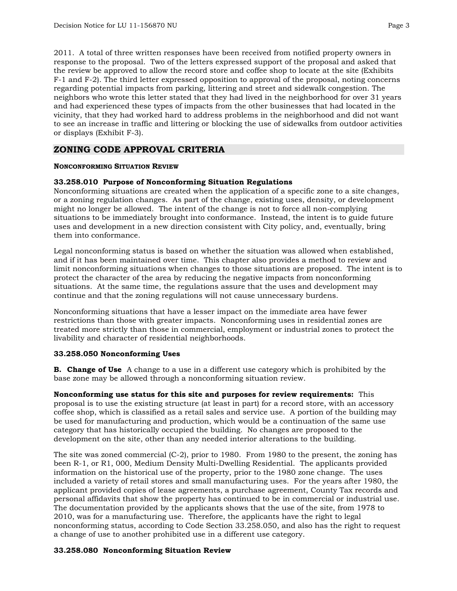2011. A total of three written responses have been received from notified property owners in response to the proposal. Two of the letters expressed support of the proposal and asked that the review be approved to allow the record store and coffee shop to locate at the site (Exhibits F-1 and F-2). The third letter expressed opposition to approval of the proposal, noting concerns regarding potential impacts from parking, littering and street and sidewalk congestion. The neighbors who wrote this letter stated that they had lived in the neighborhood for over 31 years and had experienced these types of impacts from the other businesses that had located in the vicinity, that they had worked hard to address problems in the neighborhood and did not want to see an increase in traffic and littering or blocking the use of sidewalks from outdoor activities or displays (Exhibit F-3).

## **ZONING CODE APPROVAL CRITERIA**

### **NONCONFORMING SITUATION REVIEW**

### **33.258.010 Purpose of Nonconforming Situation Regulations**

Nonconforming situations are created when the application of a specific zone to a site changes, or a zoning regulation changes. As part of the change, existing uses, density, or development might no longer be allowed. The intent of the change is not to force all non-complying situations to be immediately brought into conformance. Instead, the intent is to guide future uses and development in a new direction consistent with City policy, and, eventually, bring them into conformance.

Legal nonconforming status is based on whether the situation was allowed when established, and if it has been maintained over time. This chapter also provides a method to review and limit nonconforming situations when changes to those situations are proposed. The intent is to protect the character of the area by reducing the negative impacts from nonconforming situations. At the same time, the regulations assure that the uses and development may continue and that the zoning regulations will not cause unnecessary burdens.

Nonconforming situations that have a lesser impact on the immediate area have fewer restrictions than those with greater impacts. Nonconforming uses in residential zones are treated more strictly than those in commercial, employment or industrial zones to protect the livability and character of residential neighborhoods.

#### **33.258.050 Nonconforming Uses**

**B. Change of Use** A change to a use in a different use category which is prohibited by the base zone may be allowed through a nonconforming situation review.

**Nonconforming use status for this site and purposes for review requirements:** This proposal is to use the existing structure (at least in part) for a record store, with an accessory coffee shop, which is classified as a retail sales and service use. A portion of the building may be used for manufacturing and production, which would be a continuation of the same use category that has historically occupied the building. No changes are proposed to the development on the site, other than any needed interior alterations to the building.

The site was zoned commercial (C-2), prior to 1980. From 1980 to the present, the zoning has been R-1, or R1, 000, Medium Density Multi-Dwelling Residential. The applicants provided information on the historical use of the property, prior to the 1980 zone change. The uses included a variety of retail stores and small manufacturing uses. For the years after 1980, the applicant provided copies of lease agreements, a purchase agreement, County Tax records and personal affidavits that show the property has continued to be in commercial or industrial use. The documentation provided by the applicants shows that the use of the site, from 1978 to 2010, was for a manufacturing use. Therefore, the applicants have the right to legal nonconforming status, according to Code Section 33.258.050, and also has the right to request a change of use to another prohibited use in a different use category.

## **33.258.080 Nonconforming Situation Review**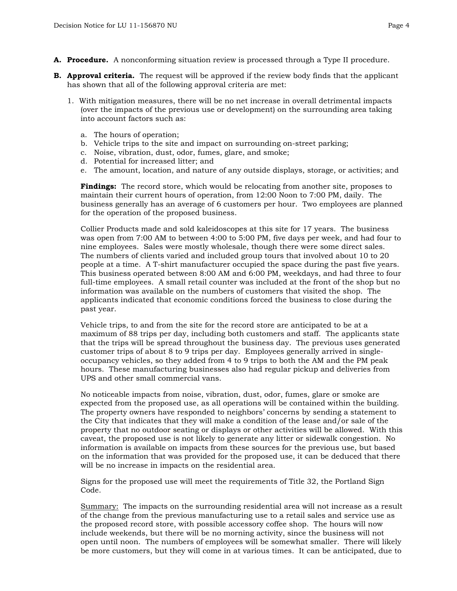- **A. Procedure.** A nonconforming situation review is processed through a Type II procedure.
- **B.** Approval criteria. The request will be approved if the review body finds that the applicant has shown that all of the following approval criteria are met:
	- 1.With mitigation measures, there will be no net increase in overall detrimental impacts (over the impacts of the previous use or development) on the surrounding area taking into account factors such as:
		- a. The hours of operation;
		- b. Vehicle trips to the site and impact on surrounding on-street parking;
		- c. Noise, vibration, dust, odor, fumes, glare, and smoke;
		- d. Potential for increased litter; and
		- e. The amount, location, and nature of any outside displays, storage, or activities; and

**Findings:** The record store, which would be relocating from another site, proposes to maintain their current hours of operation, from 12:00 Noon to 7:00 PM, daily. The business generally has an average of 6 customers per hour. Two employees are planned for the operation of the proposed business.

Collier Products made and sold kaleidoscopes at this site for 17 years. The business was open from 7:00 AM to between 4:00 to 5:00 PM, five days per week, and had four to nine employees. Sales were mostly wholesale, though there were some direct sales. The numbers of clients varied and included group tours that involved about 10 to 20 people at a time. A T-shirt manufacturer occupied the space during the past five years. This business operated between 8:00 AM and 6:00 PM, weekdays, and had three to four full-time employees. A small retail counter was included at the front of the shop but no information was available on the numbers of customers that visited the shop. The applicants indicated that economic conditions forced the business to close during the past year.

Vehicle trips, to and from the site for the record store are anticipated to be at a maximum of 88 trips per day, including both customers and staff. The applicants state that the trips will be spread throughout the business day. The previous uses generated customer trips of about 8 to 9 trips per day. Employees generally arrived in singleoccupancy vehicles, so they added from 4 to 9 trips to both the AM and the PM peak hours. These manufacturing businesses also had regular pickup and deliveries from UPS and other small commercial vans.

No noticeable impacts from noise, vibration, dust, odor, fumes, glare or smoke are expected from the proposed use, as all operations will be contained within the building. The property owners have responded to neighbors' concerns by sending a statement to the City that indicates that they will make a condition of the lease and/or sale of the property that no outdoor seating or displays or other activities will be allowed. With this caveat, the proposed use is not likely to generate any litter or sidewalk congestion. No information is available on impacts from these sources for the previous use, but based on the information that was provided for the proposed use, it can be deduced that there will be no increase in impacts on the residential area.

Signs for the proposed use will meet the requirements of Title 32, the Portland Sign Code.

Summary: The impacts on the surrounding residential area will not increase as a result of the change from the previous manufacturing use to a retail sales and service use as the proposed record store, with possible accessory coffee shop. The hours will now include weekends, but there will be no morning activity, since the business will not open until noon. The numbers of employees will be somewhat smaller. There will likely be more customers, but they will come in at various times. It can be anticipated, due to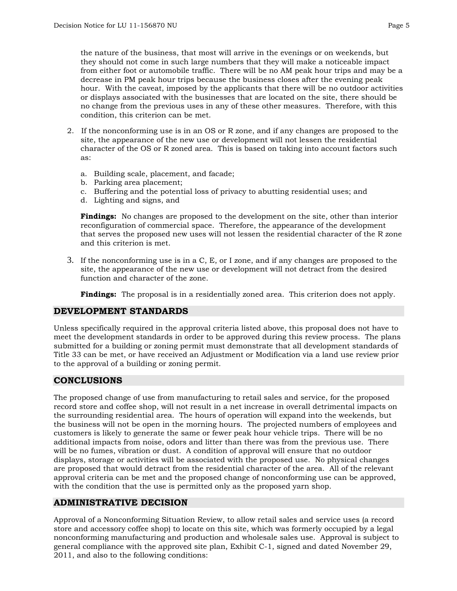the nature of the business, that most will arrive in the evenings or on weekends, but they should not come in such large numbers that they will make a noticeable impact from either foot or automobile traffic. There will be no AM peak hour trips and may be a decrease in PM peak hour trips because the business closes after the evening peak hour. With the caveat, imposed by the applicants that there will be no outdoor activities or displays associated with the businesses that are located on the site, there should be no change from the previous uses in any of these other measures. Therefore, with this condition, this criterion can be met.

- 2. If the nonconforming use is in an OS or R zone, and if any changes are proposed to the site, the appearance of the new use or development will not lessen the residential character of the OS or R zoned area. This is based on taking into account factors such as:
	- a. Building scale, placement, and facade;
	- b. Parking area placement;
	- c. Buffering and the potential loss of privacy to abutting residential uses; and
	- d. Lighting and signs, and

**Findings:** No changes are proposed to the development on the site, other than interior reconfiguration of commercial space. Therefore, the appearance of the development that serves the proposed new uses will not lessen the residential character of the R zone and this criterion is met.

3. If the nonconforming use is in a C, E, or I zone, and if any changes are proposed to the site, the appearance of the new use or development will not detract from the desired function and character of the zone.

**Findings:** The proposal is in a residentially zoned area. This criterion does not apply.

## **DEVELOPMENT STANDARDS**

Unless specifically required in the approval criteria listed above, this proposal does not have to meet the development standards in order to be approved during this review process. The plans submitted for a building or zoning permit must demonstrate that all development standards of Title 33 can be met, or have received an Adjustment or Modification via a land use review prior to the approval of a building or zoning permit.

## **CONCLUSIONS**

The proposed change of use from manufacturing to retail sales and service, for the proposed record store and coffee shop, will not result in a net increase in overall detrimental impacts on the surrounding residential area. The hours of operation will expand into the weekends, but the business will not be open in the morning hours. The projected numbers of employees and customers is likely to generate the same or fewer peak hour vehicle trips. There will be no additional impacts from noise, odors and litter than there was from the previous use. There will be no fumes, vibration or dust. A condition of approval will ensure that no outdoor displays, storage or activities will be associated with the proposed use. No physical changes are proposed that would detract from the residential character of the area. All of the relevant approval criteria can be met and the proposed change of nonconforming use can be approved, with the condition that the use is permitted only as the proposed yarn shop.

## **ADMINISTRATIVE DECISION**

Approval of a Nonconforming Situation Review, to allow retail sales and service uses (a record store and accessory coffee shop) to locate on this site, which was formerly occupied by a legal nonconforming manufacturing and production and wholesale sales use. Approval is subject to general compliance with the approved site plan, Exhibit C-1, signed and dated November 29, 2011, and also to the following conditions: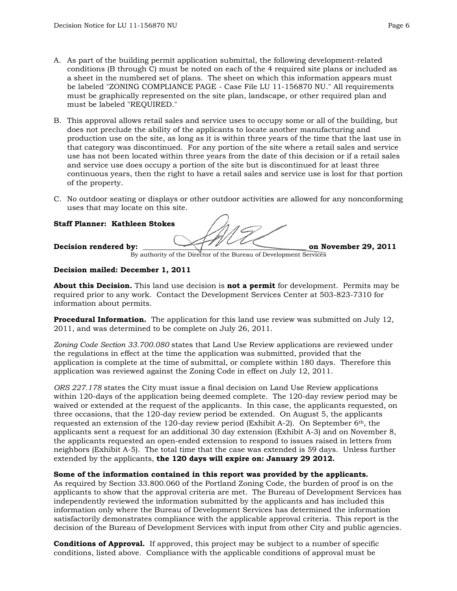- A. As part of the building permit application submittal, the following development-related conditions (B through C) must be noted on each of the 4 required site plans or included as a sheet in the numbered set of plans. The sheet on which this information appears must be labeled "ZONING COMPLIANCE PAGE - Case File LU 11-156870 NU." All requirements must be graphically represented on the site plan, landscape, or other required plan and must be labeled "REQUIRED."
- B. This approval allows retail sales and service uses to occupy some or all of the building, but does not preclude the ability of the applicants to locate another manufacturing and production use on the site, as long as it is within three years of the time that the last use in that category was discontinued. For any portion of the site where a retail sales and service use has not been located within three years from the date of this decision or if a retail sales and service use does occupy a portion of the site but is discontinued for at least three continuous years, then the right to have a retail sales and service use is lost for that portion of the property.
- C. No outdoor seating or displays or other outdoor activities are allowed for any nonconforming uses that may locate on this site.

### **Staff Planner: Kathleen Stokes**

Decision rendered by: **We can also controlled by: because on November 29, 2011** 

By authority of the Director of the Bureau of Development Services

### **Decision mailed: December 1, 2011**

**About this Decision.** This land use decision is **not a permit** for development. Permits may be required prior to any work. Contact the Development Services Center at 503-823-7310 for information about permits.

**Procedural Information.** The application for this land use review was submitted on July 12, 2011, and was determined to be complete on July 26, 2011.

*Zoning Code Section 33.700.080* states that Land Use Review applications are reviewed under the regulations in effect at the time the application was submitted, provided that the application is complete at the time of submittal, or complete within 180 days. Therefore this application was reviewed against the Zoning Code in effect on July 12, 2011.

*ORS 227.178* states the City must issue a final decision on Land Use Review applications within 120-days of the application being deemed complete. The 120-day review period may be waived or extended at the request of the applicants. In this case, the applicants requested, on three occasions, that the 120-day review period be extended. On August 5, the applicants requested an extension of the 120-day review period (Exhibit A-2). On September 6<sup>th</sup>, the applicants sent a request for an additional 30 day extension (Exhibit A-3) and on November 8, the applicants requested an open-ended extension to respond to issues raised in letters from neighbors (Exhibit A-5). The total time that the case was extended is 59 days. Unless further extended by the applicants, **the 120 days will expire on: January 29 2012.**

#### **Some of the information contained in this report was provided by the applicants.**

As required by Section 33.800.060 of the Portland Zoning Code, the burden of proof is on the applicants to show that the approval criteria are met. The Bureau of Development Services has independently reviewed the information submitted by the applicants and has included this information only where the Bureau of Development Services has determined the information satisfactorily demonstrates compliance with the applicable approval criteria. This report is the decision of the Bureau of Development Services with input from other City and public agencies.

**Conditions of Approval.** If approved, this project may be subject to a number of specific conditions, listed above. Compliance with the applicable conditions of approval must be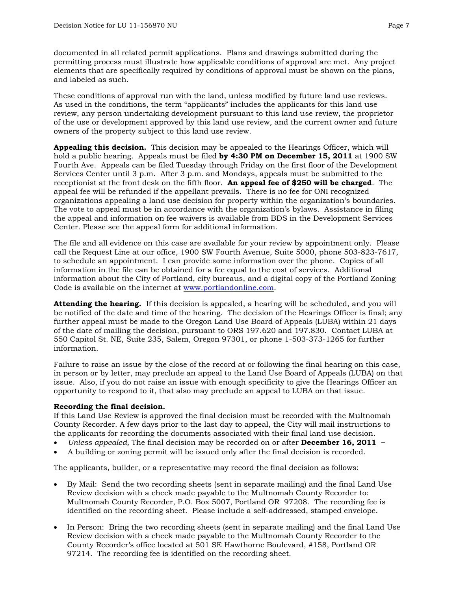documented in all related permit applications. Plans and drawings submitted during the permitting process must illustrate how applicable conditions of approval are met. Any project elements that are specifically required by conditions of approval must be shown on the plans, and labeled as such.

These conditions of approval run with the land, unless modified by future land use reviews. As used in the conditions, the term "applicants" includes the applicants for this land use review, any person undertaking development pursuant to this land use review, the proprietor of the use or development approved by this land use review, and the current owner and future owners of the property subject to this land use review.

**Appealing this decision.** This decision may be appealed to the Hearings Officer, which will hold a public hearing. Appeals must be filed **by 4:30 PM on December 15, 2011** at 1900 SW Fourth Ave. Appeals can be filed Tuesday through Friday on the first floor of the Development Services Center until 3 p.m. After 3 p.m. and Mondays, appeals must be submitted to the receptionist at the front desk on the fifth floor. **An appeal fee of \$250 will be charged**. The appeal fee will be refunded if the appellant prevails. There is no fee for ONI recognized organizations appealing a land use decision for property within the organization's boundaries. The vote to appeal must be in accordance with the organization's bylaws. Assistance in filing the appeal and information on fee waivers is available from BDS in the Development Services Center. Please see the appeal form for additional information.

The file and all evidence on this case are available for your review by appointment only. Please call the Request Line at our office, 1900 SW Fourth Avenue, Suite 5000, phone 503-823-7617, to schedule an appointment. I can provide some information over the phone. Copies of all information in the file can be obtained for a fee equal to the cost of services. Additional information about the City of Portland, city bureaus, and a digital copy of the Portland Zoning Code is available on the internet at [www.portlandonline.com](http://www.ci.portland.or.us/).

**Attending the hearing.** If this decision is appealed, a hearing will be scheduled, and you will be notified of the date and time of the hearing. The decision of the Hearings Officer is final; any further appeal must be made to the Oregon Land Use Board of Appeals (LUBA) within 21 days of the date of mailing the decision, pursuant to ORS 197.620 and 197.830. Contact LUBA at 550 Capitol St. NE, Suite 235, Salem, Oregon 97301, or phone 1-503-373-1265 for further information.

Failure to raise an issue by the close of the record at or following the final hearing on this case, in person or by letter, may preclude an appeal to the Land Use Board of Appeals (LUBA) on that issue. Also, if you do not raise an issue with enough specificity to give the Hearings Officer an opportunity to respond to it, that also may preclude an appeal to LUBA on that issue.

## **Recording the final decision.**

If this Land Use Review is approved the final decision must be recorded with the Multnomah County Recorder. A few days prior to the last day to appeal, the City will mail instructions to the applicants for recording the documents associated with their final land use decision.

- *Unless appealed,* The final decision may be recorded on or after **December 16, 2011**
- A building or zoning permit will be issued only after the final decision is recorded.

The applicants, builder, or a representative may record the final decision as follows:

- By Mail: Send the two recording sheets (sent in separate mailing) and the final Land Use Review decision with a check made payable to the Multnomah County Recorder to: Multnomah County Recorder, P.O. Box 5007, Portland OR 97208. The recording fee is identified on the recording sheet. Please include a self-addressed, stamped envelope.
- In Person: Bring the two recording sheets (sent in separate mailing) and the final Land Use Review decision with a check made payable to the Multnomah County Recorder to the County Recorder's office located at 501 SE Hawthorne Boulevard, #158, Portland OR 97214. The recording fee is identified on the recording sheet.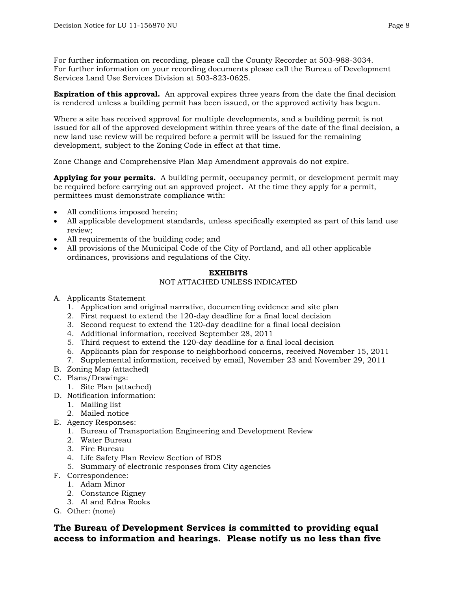For further information on recording, please call the County Recorder at 503-988-3034. For further information on your recording documents please call the Bureau of Development Services Land Use Services Division at 503-823-0625.

**Expiration of this approval.** An approval expires three years from the date the final decision is rendered unless a building permit has been issued, or the approved activity has begun.

Where a site has received approval for multiple developments, and a building permit is not issued for all of the approved development within three years of the date of the final decision, a new land use review will be required before a permit will be issued for the remaining development, subject to the Zoning Code in effect at that time.

Zone Change and Comprehensive Plan Map Amendment approvals do not expire.

**Applying for your permits.** A building permit, occupancy permit, or development permit may be required before carrying out an approved project. At the time they apply for a permit, permittees must demonstrate compliance with:

- All conditions imposed herein;
- All applicable development standards, unless specifically exempted as part of this land use review;
- All requirements of the building code; and
- All provisions of the Municipal Code of the City of Portland, and all other applicable ordinances, provisions and regulations of the City.

#### **EXHIBITS**

## NOT ATTACHED UNLESS INDICATED

- A. Applicants Statement
	- 1. Application and original narrative, documenting evidence and site plan
	- 2. First request to extend the 120-day deadline for a final local decision
	- 3. Second request to extend the 120-day deadline for a final local decision
	- 4. Additional information, received September 28, 2011
	- 5. Third request to extend the 120-day deadline for a final local decision
	- 6. Applicants plan for response to neighborhood concerns, received November 15, 2011
	- 7. Supplemental information, received by email, November 23 and November 29, 2011
- B. Zoning Map (attached)
- C. Plans/Drawings:
	- 1. Site Plan (attached)
- D. Notification information:
	- 1. Mailing list
	- 2. Mailed notice
- E. Agency Responses:
	- 1. Bureau of Transportation Engineering and Development Review
	- 2. Water Bureau
	- 3. Fire Bureau
	- 4. Life Safety Plan Review Section of BDS
	- 5. Summary of electronic responses from City agencies
- F. Correspondence:
	- 1. Adam Minor
	- 2. Constance Rigney
	- 3. Al and Edna Rooks
- G. Other: (none)

## **The Bureau of Development Services is committed to providing equal access to information and hearings. Please notify us no less than five**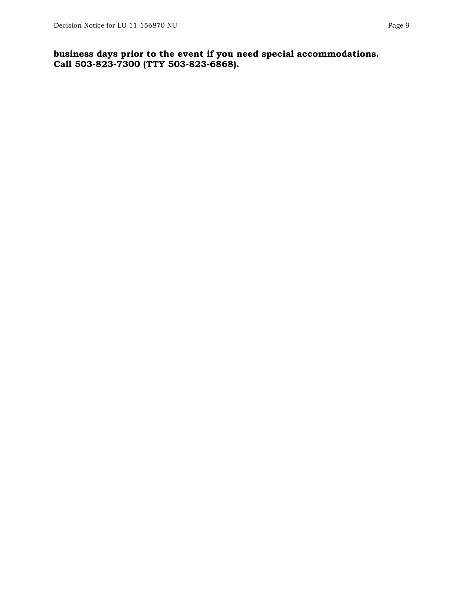## **business days prior to the event if you need special accommodations. Call 503-823-7300 (TTY 503-823-6868).**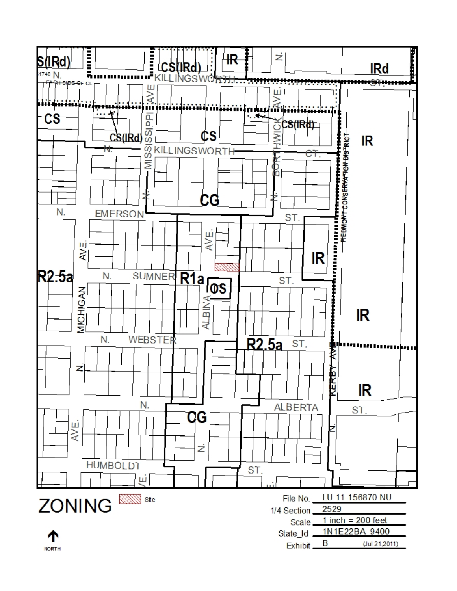